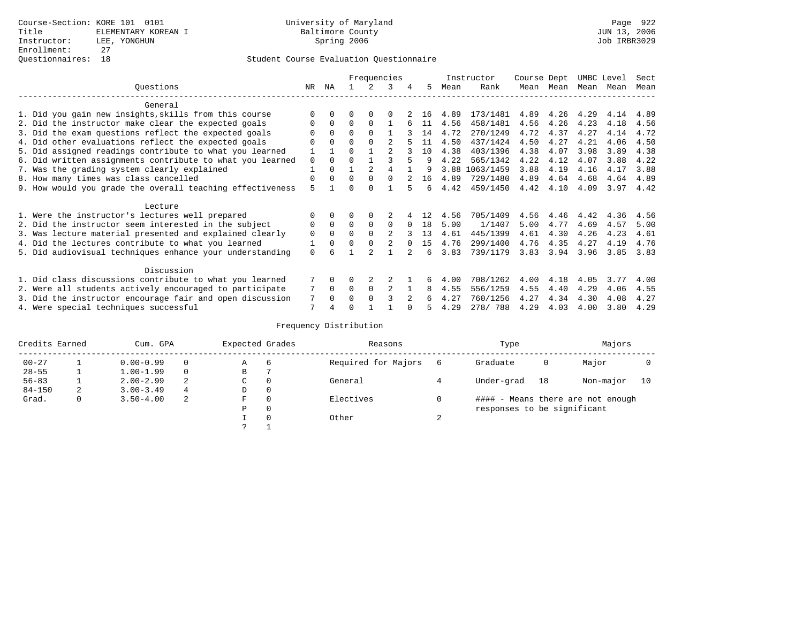### Student Course Evaluation Questionnaire

|                                                           |             |          | Frequencies |          |                |          |    |      | Instructor |      | Course Dept |      | UMBC Level |      |
|-----------------------------------------------------------|-------------|----------|-------------|----------|----------------|----------|----|------|------------|------|-------------|------|------------|------|
| Ouestions                                                 | NR.         | ΝA       |             |          | 3              |          | 5. | Mean | Rank       | Mean | Mean        | Mean | Mean       | Mean |
| General                                                   |             |          |             |          |                |          |    |      |            |      |             |      |            |      |
| 1. Did you gain new insights, skills from this course     |             | $\Omega$ | O           | $\Omega$ | $\Omega$       |          | 16 | 4.89 | 173/1481   | 4.89 | 4.26        | 4.29 | 4.14       | 4.89 |
| 2. Did the instructor make clear the expected goals       | O           | $\Omega$ | $\Omega$    | $\Omega$ |                |          | 11 | 4.56 | 458/1481   | 4.56 | 4.26        | 4.23 | 4.18       | 4.56 |
| 3. Did the exam questions reflect the expected goals      |             | $\Omega$ | $\Omega$    | $\Omega$ |                |          | 14 | 4.72 | 270/1249   | 4.72 | 4.37        | 4.27 | 4.14       | 4.72 |
| 4. Did other evaluations reflect the expected goals       | O           | $\Omega$ | $\Omega$    | $\Omega$ |                |          | 11 | 4.50 | 437/1424   | 4.50 | 4.27        | 4.21 | 4.06       | 4.50 |
| 5. Did assigned readings contribute to what you learned   |             |          | $\Omega$    |          | $\mathfrak{D}$ |          | 10 | 4.38 | 403/1396   | 4.38 | 4.07        | 3.98 | 3.89       | 4.38 |
| 6. Did written assignments contribute to what you learned | $\mathbf 0$ | $\Omega$ |             |          |                |          | q  | 4.22 | 565/1342   | 4.22 | 4.12        | 4.07 | 3.88       | 4.22 |
| 7. Was the grading system clearly explained               |             | $\Omega$ |             |          | 4              |          | q  | 3.88 | 1063/1459  | 3.88 | 4.19        | 4.16 | 4.17       | 3.88 |
| 8. How many times was class cancelled                     | $\Omega$    | $\Omega$ | $\Omega$    | $\Omega$ | $\cap$         |          | 16 | 4.89 | 729/1480   | 4.89 | 4.64        | 4.68 | 4.64       | 4.89 |
| 9. How would you grade the overall teaching effectiveness | 5           |          | U           | $\cap$   |                |          | б. | 4.42 | 459/1450   | 4.42 | 4.10        | 4.09 | 3.97       | 4.42 |
| Lecture                                                   |             |          |             |          |                |          |    |      |            |      |             |      |            |      |
| 1. Were the instructor's lectures well prepared           | 0           |          |             |          |                |          | 12 | 4.56 | 705/1409   | 4.56 | 4.46        | 4.42 | 4.36       | 4.56 |
| 2. Did the instructor seem interested in the subject      | 0           | $\Omega$ | $\Omega$    | $\Omega$ | $\Omega$       | $\Omega$ | 18 | 5.00 | 1/1407     | 5.00 | 4.77        | 4.69 | 4.57       | 5.00 |
| 3. Was lecture material presented and explained clearly   | $\mathbf 0$ | $\Omega$ | $\Omega$    |          | $\mathfrak{D}$ |          | 13 | 4.61 | 445/1399   | 4.61 | 4.30        | 4.26 | 4.23       | 4.61 |
| 4. Did the lectures contribute to what you learned        |             | $\Omega$ | $\Omega$    | $\Omega$ |                |          | 15 | 4.76 | 299/1400   | 4.76 | 4.35        | 4.27 | 4.19       | 4.76 |
| 5. Did audiovisual techniques enhance your understanding  | $\Omega$    |          |             |          |                |          | б. | 3.83 | 739/1179   | 3.83 | 3.94        | 3.96 | 3.85       | 3.83 |
| Discussion                                                |             |          |             |          |                |          |    |      |            |      |             |      |            |      |
| 1. Did class discussions contribute to what you learned   |             | $\Omega$ | O           |          |                |          | 6  | 4.00 | 708/1262   | 4.00 | 4.18        | 4.05 | 3.77       | 4.00 |
| 2. Were all students actively encouraged to participate   |             | $\Omega$ | $\Omega$    | $\Omega$ |                |          | 8  | 4.55 | 556/1259   | 4.55 | 4.40        | 4.29 | 4.06       | 4.55 |
| 3. Did the instructor encourage fair and open discussion  | 7           | $\Omega$ | 0           | $\Omega$ |                |          |    | 4.27 | 760/1256   | 4.27 | 4.34        | 4.30 | 4.08       | 4.27 |
| 4. Were special techniques successful                     | 7           |          |             |          |                |          |    | 4.29 | 278/788    | 4.29 | 4.03        | 4.00 | 3.80       | 4.29 |

# Frequency Distribution

| Credits Earned<br>Cum. GPA |   |               |   | Expected Grades |          | Reasons             |        | Type                        | Majors                            |           |    |  |  |
|----------------------------|---|---------------|---|-----------------|----------|---------------------|--------|-----------------------------|-----------------------------------|-----------|----|--|--|
| $00 - 27$                  |   | $0.00 - 0.99$ |   | Α               | 6        | Required for Majors |        | Graduate                    | 0                                 | Major     |    |  |  |
| $28 - 55$                  |   | $1.00 - 1.99$ |   | B               |          |                     |        |                             |                                   |           |    |  |  |
| $56 - 83$                  |   | $2.00 - 2.99$ | 2 | C               | 0        | General             |        | Under-grad                  | 18                                | Non-major | 10 |  |  |
| $84 - 150$                 | 2 | $3.00 - 3.49$ | 4 | D               | 0        |                     |        |                             |                                   |           |    |  |  |
| Grad.                      | 0 | $3.50 - 4.00$ | 2 | F               | 0        | Electives           |        |                             | #### - Means there are not enough |           |    |  |  |
|                            |   |               |   | Ρ               | 0        |                     |        | responses to be significant |                                   |           |    |  |  |
|                            |   |               |   |                 | $\Omega$ | Other               | $\sim$ |                             |                                   |           |    |  |  |
|                            |   |               |   | っ               |          |                     |        |                             |                                   |           |    |  |  |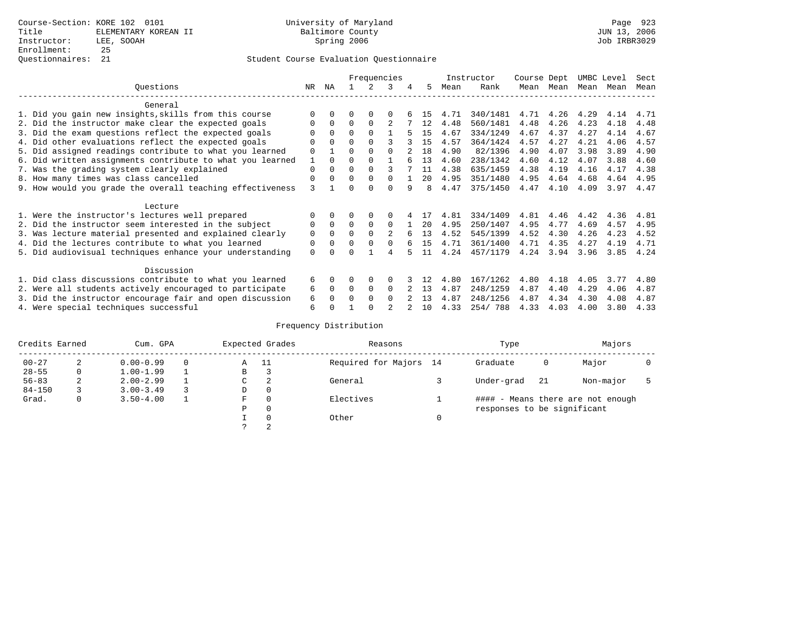### Student Course Evaluation Questionnaire

|                                                           |                                                           |              |          | Frequencies |          |              |   |    |      | Instructor | Course Dept |           | UMBC Level |      | Sect |
|-----------------------------------------------------------|-----------------------------------------------------------|--------------|----------|-------------|----------|--------------|---|----|------|------------|-------------|-----------|------------|------|------|
|                                                           | Ouestions                                                 | NR.          | ΝA       |             | 2        | 3            | 4 | 5. | Mean | Rank       |             | Mean Mean | Mean       | Mean | Mean |
| General                                                   |                                                           |              |          |             |          |              |   |    |      |            |             |           |            |      |      |
|                                                           | 1. Did you gain new insights, skills from this course     |              | $\Omega$ | 0           | $\Omega$ | $\Omega$     |   | 15 | 4.71 | 340/1481   | 4.71        | 4.26      | 4.29       | 4.14 | 4.71 |
|                                                           | 2. Did the instructor make clear the expected goals       | O            | $\Omega$ | $\Omega$    | $\Omega$ |              |   | 12 | 4.48 | 560/1481   | 4.48        | 4.26      | 4.23       | 4.18 | 4.48 |
|                                                           | 3. Did the exam questions reflect the expected goals      |              | $\Omega$ | 0           | $\Omega$ |              |   | 15 | 4.67 | 334/1249   | 4.67        | 4.37      | 4.27       | 4.14 | 4.67 |
|                                                           | 4. Did other evaluations reflect the expected goals       | O            | $\Omega$ | O           | $\Omega$ |              |   | 15 | 4.57 | 364/1424   | 4.57        | 4.27      | 4.21       | 4.06 | 4.57 |
|                                                           | 5. Did assigned readings contribute to what you learned   | 0            |          | O           | $\Omega$ | $\Omega$     |   | 18 | 4.90 | 82/1396    | 4.90        | 4.07      | 3.98       | 3.89 | 4.90 |
|                                                           | 6. Did written assignments contribute to what you learned | $\mathbf{1}$ | $\Omega$ | O           | $\Omega$ |              |   | 13 | 4.60 | 238/1342   | 4.60        | 4.12      | 4.07       | 3.88 | 4.60 |
|                                                           | 7. Was the grading system clearly explained               |              |          |             | $\Omega$ | ς            |   | 11 | 4.38 | 635/1459   | 4.38        | 4.19      | 4.16       | 4.17 | 4.38 |
|                                                           | 8. How many times was class cancelled                     |              |          |             | $\Omega$ | <sup>0</sup> |   | 20 | 4.95 | 351/1480   | 4.95        | 4.64      | 4.68       | 4.64 | 4.95 |
| 9. How would you grade the overall teaching effectiveness |                                                           |              |          |             | $\cap$   | <sup>0</sup> | 9 | 8  | 4.47 | 375/1450   | 4.47        | 4.10      | 4.09       | 3.97 | 4.47 |
| Lecture                                                   |                                                           |              |          |             |          |              |   |    |      |            |             |           |            |      |      |
|                                                           | 1. Were the instructor's lectures well prepared           | O            |          |             | $\Omega$ |              |   |    | 4.81 | 334/1409   | 4.81        | 4.46      | 4.42       | 4.36 | 4.81 |
|                                                           | 2. Did the instructor seem interested in the subject      | 0            | $\Omega$ | $\Omega$    | $\Omega$ | $\Omega$     |   | 20 | 4.95 | 250/1407   | 4.95        | 4.77      | 4.69       | 4.57 | 4.95 |
|                                                           | 3. Was lecture material presented and explained clearly   | 0            | $\Omega$ | 0           | $\Omega$ | 2            |   | 13 | 4.52 | 545/1399   | 4.52        | 4.30      | 4.26       | 4.23 | 4.52 |
|                                                           | 4. Did the lectures contribute to what you learned        | 0            | $\Omega$ | U           | $\Omega$ | <sup>0</sup> |   | 15 | 4.71 | 361/1400   | 4.71        | 4.35      | 4.27       | 4.19 | 4.71 |
|                                                           | 5. Did audiovisual techniques enhance your understanding  | $\Omega$     |          |             |          | 4            |   | 11 | 4.24 | 457/1179   | 4.24        | 3.94      | 3.96       | 3.85 | 4.24 |
|                                                           | Discussion                                                |              |          |             |          |              |   |    |      |            |             |           |            |      |      |
|                                                           | 1. Did class discussions contribute to what you learned   | 6            | $\Omega$ | O           | $\Omega$ | <sup>0</sup> |   |    | 4.80 | 167/1262   | 4.80        | 4.18      | 4.05       | 3.77 | 4.80 |
|                                                           | 2. Were all students actively encouraged to participate   | 6            | $\Omega$ | $\Omega$    | $\Omega$ | $\Omega$     |   | 13 | 4.87 | 248/1259   | 4.87        | 4.40      | 4.29       | 4.06 | 4.87 |
|                                                           | 3. Did the instructor encourage fair and open discussion  | 6            |          |             | $\Omega$ | <sup>0</sup> |   | 13 | 4.87 | 248/1256   | 4.87        | 4.34      | 4.30       | 4.08 | 4.87 |
|                                                           | 4. Were special techniques successful                     | 6            |          |             |          |              |   | 10 | 4.33 | 254/788    | 4.33        | 4.03      | 4.00       | 3.80 | 4.33 |

# Frequency Distribution

| Credits Earned |   | Cum. GPA      |  | Expected Grades | Reasons  | Type                   |                             | Majors                            |           |  |
|----------------|---|---------------|--|-----------------|----------|------------------------|-----------------------------|-----------------------------------|-----------|--|
| $00 - 27$      | 2 | $0.00 - 0.99$ |  | Α               | - 11     | Required for Majors 14 | Graduate                    | 0                                 | Major     |  |
| $28 - 55$      | 0 | $1.00 - 1.99$ |  | B               | З        |                        |                             |                                   |           |  |
| $56 - 83$      | 2 | $2.00 - 2.99$ |  | C               | 2        | General                | Under-grad                  | -21                               | Non-major |  |
| $84 - 150$     |   | $3.00 - 3.49$ |  | D               | 0        |                        |                             |                                   |           |  |
| Grad.          | 0 | $3.50 - 4.00$ |  | F               | 0        | Electives              |                             | #### - Means there are not enough |           |  |
|                |   |               |  | Ρ               | 0        |                        | responses to be significant |                                   |           |  |
|                |   |               |  |                 | $\Omega$ | Other                  |                             |                                   |           |  |
|                |   |               |  |                 | 2        |                        |                             |                                   |           |  |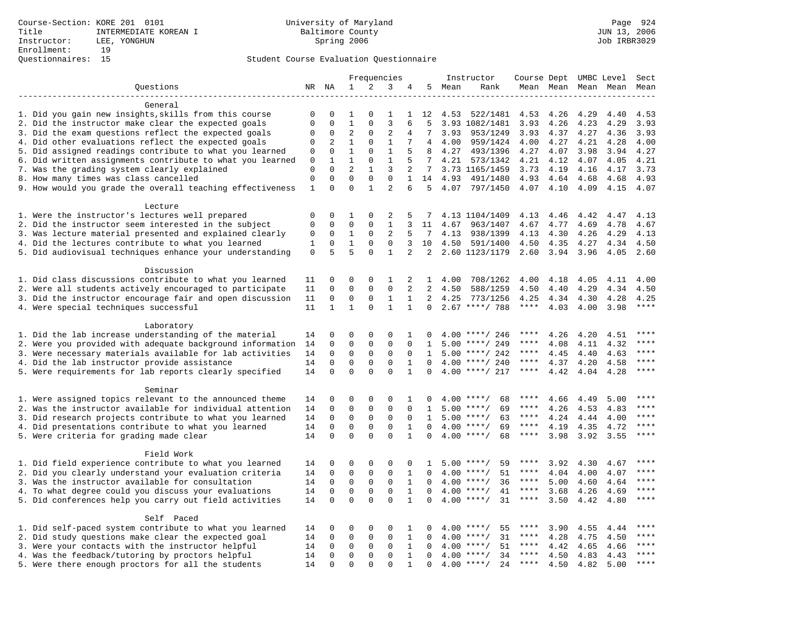## Student Course Evaluation Questionnaire

|                                                                                                         |              |              | Frequencies    |              |                | Instructor   |                 |        |                            | Course Dept UMBC Level |              | Sect                |      |             |
|---------------------------------------------------------------------------------------------------------|--------------|--------------|----------------|--------------|----------------|--------------|-----------------|--------|----------------------------|------------------------|--------------|---------------------|------|-------------|
| Questions                                                                                               |              | NR NA        | 1              | 2            | 3              | 4            |                 | 5 Mean | Rank                       |                        |              | Mean Mean Mean Mean |      | Mean        |
|                                                                                                         |              |              |                |              |                |              |                 |        |                            |                        |              |                     |      |             |
| General                                                                                                 |              |              |                |              |                |              |                 |        |                            |                        |              |                     |      |             |
| 1. Did you gain new insights, skills from this course                                                   | 0            | $\mathbf 0$  | 1              | $\Omega$     | $\mathbf{1}$   | $\mathbf{1}$ | 12              | 4.53   | 522/1481                   | 4.53                   | 4.26         | 4.29                | 4.40 | 4.53        |
| 2. Did the instructor make clear the expected goals                                                     | $\mathbf{0}$ | $\Omega$     | $\mathbf{1}$   | $\Omega$     | $\overline{3}$ | 6            | 5               |        | 3.93 1082/1481             | 3.93                   | 4.26         | 4.23                | 4.29 | 3.93        |
| 3. Did the exam questions reflect the expected goals                                                    | $\mathbf 0$  | $\Omega$     | $\overline{2}$ | $\Omega$     | $\overline{2}$ | 4            | 7               | 3.93   | 953/1249                   | 3.93                   | 4.37         | 4.27                | 4.36 | 3.93        |
| 4. Did other evaluations reflect the expected goals                                                     | $\mathbf 0$  | 2            | $\mathbf{1}$   | $\mathbf{0}$ | $\mathbf{1}$   | 7            | $4\overline{ }$ | 4.00   | 959/1424                   | 4.00                   | 4.27         | 4.21                | 4.28 | 4.00        |
| 5. Did assigned readings contribute to what you learned                                                 | $\mathbf 0$  | $\mathbf 0$  | $\mathbf{1}$   | $\mathbf{0}$ | $1\,$          | 5            | 8               | 4.27   | 493/1396                   | 4.27                   | 4.07         | 3.98                | 3.94 | 4.27        |
| 6. Did written assignments contribute to what you learned                                               | 0            | 1            | $\mathbf 1$    | 0            | $\mathbf{1}$   |              | 7               | 4.21   | 573/1342                   | 4.21                   | 4.12         | 4.07                | 4.05 | 4.21        |
| 7. Was the grading system clearly explained                                                             | $\mathbf 0$  | $\Omega$     | $\overline{2}$ | $\mathbf{1}$ | 3              | 2            | $7^{\circ}$     |        | 3.73 1165/1459             | 3.73                   | 4.19         | 4.16                | 4.17 | 3.73        |
| 8. How many times was class cancelled                                                                   | $\mathbf{0}$ | $\Omega$     | $\Omega$       | $\mathbf 0$  | $\Omega$       | $\mathbf{1}$ | 14              | 4.93   | 491/1480                   | 4.93                   | 4.64         | 4.68                | 4.68 | 4.93        |
| 9. How would you grade the overall teaching effectiveness                                               | $\mathbf{1}$ | $\Omega$     | $\Omega$       | $\mathbf{1}$ | $\overline{a}$ | 6            | 5               |        | 4.07 797/1450              | 4.07 4.10              |              | 4.09                | 4.15 | 4.07        |
| Lecture                                                                                                 |              |              |                |              |                |              |                 |        |                            |                        |              |                     |      |             |
|                                                                                                         | $\mathbf 0$  | $\mathbf 0$  | 1              | 0            | 2              | 5            |                 |        |                            |                        |              | 4.42                | 4.47 | 4.13        |
| 1. Were the instructor's lectures well prepared<br>2. Did the instructor seem interested in the subject | $\mathbf 0$  | $\mathbf 0$  | 0              | 0            | 1              | 3            | 11              | 4.67   | 4.13 1104/1409<br>963/1407 | 4.13<br>4.67           | 4.46<br>4.77 | 4.69                | 4.78 | 4.67        |
| 3. Was lecture material presented and explained clearly                                                 | 0            | $\mathbf 0$  | 1              | $\mathbf 0$  | 2              | 5            | 7               | 4.13   | 938/1399                   | 4.13                   | 4.30         | 4.26                | 4.29 | 4.13        |
| 4. Did the lectures contribute to what you learned                                                      | 1            | $\Omega$     | $\mathbf{1}$   | $\Omega$     | $\Omega$       | 3            | 10              | 4.50   | 591/1400                   | 4.50                   | 4.35         | 4.27                | 4.34 | 4.50        |
| 5. Did audiovisual techniques enhance your understanding                                                | $\mathbf 0$  | 5            | 5              | $\Omega$     | $\mathbf{1}$   | 2            | 2               |        | 2.60 1123/1179             | 2.60                   | 3.94         | 3.96                | 4.05 | 2.60        |
|                                                                                                         |              |              |                |              |                |              |                 |        |                            |                        |              |                     |      |             |
| Discussion                                                                                              |              |              |                |              |                |              |                 |        |                            |                        |              |                     |      |             |
| 1. Did class discussions contribute to what you learned                                                 | 11           | $\Omega$     | 0              | 0            | 1              | 2            | $\mathbf{1}$    | 4.00   | 708/1262                   | 4.00                   | 4.18         | 4.05                | 4.11 | 4.00        |
| 2. Were all students actively encouraged to participate                                                 | 11           | $\mathbf 0$  | $\mathbf 0$    | $\mathbf 0$  | $\Omega$       | 2            | 2               | 4.50   | 588/1259                   | 4.50                   | 4.40         | 4.29                | 4.34 | 4.50        |
| 3. Did the instructor encourage fair and open discussion                                                | 11           | $\mathbf{0}$ | $\mathbf 0$    | $\mathbf{0}$ | $\mathbf{1}$   | 1            | $\overline{a}$  | 4.25   | 773/1256                   | 4.25                   | 4.34         | 4.30                | 4.28 | 4.25        |
| 4. Were special techniques successful                                                                   | 11           | $\mathbf{1}$ | $\mathbf{1}$   | $\Omega$     | $\mathbf{1}$   | $\mathbf{1}$ | $\Omega$        |        | $2.67$ ****/ 788           | $\star\star\star\star$ | 4.03         | 4.00                | 3.98 | ****        |
|                                                                                                         |              |              |                |              |                |              |                 |        |                            |                        |              |                     |      |             |
| Laboratory                                                                                              |              |              |                |              |                |              |                 |        |                            |                        |              |                     |      |             |
| 1. Did the lab increase understanding of the material                                                   | 14           | $\mathbf 0$  | 0              | $\mathbf 0$  | $\mathbf 0$    | 1            | <sup>0</sup>    |        | $4.00$ ****/ 246           | ****                   | 4.26         | 4.20                | 4.51 |             |
| 2. Were you provided with adequate background information                                               | 14           | $\mathbf 0$  | $\mathbf 0$    | $\mathbf{0}$ | $\mathbf{0}$   | $\Omega$     | 1               |        | $5.00$ ****/ 249           | ****                   | 4.08         | 4.11                | 4.32 | ****        |
| 3. Were necessary materials available for lab activities                                                | 14           | $\Omega$     | $\mathbf 0$    | $\mathbf 0$  | $\mathbf 0$    | $\Omega$     | $\mathbf{1}$    |        | $5.00$ ****/ 242           | ****                   | 4.45         | 4.40                | 4.63 | ****        |
| 4. Did the lab instructor provide assistance                                                            | 14           | $\mathbf 0$  | $\mathbf 0$    | $\mathbf{0}$ | $\mathbf 0$    | $\mathbf{1}$ | $\Omega$        |        | $4.00$ ****/ 240           | $***$ * * *            | 4.37         | 4.20                | 4.58 | $***$       |
| 5. Were requirements for lab reports clearly specified                                                  | 14           | $\mathbf 0$  | $\mathbf 0$    | $\Omega$     | $\Omega$       | $\mathbf{1}$ | $\Omega$        |        | $4.00$ ****/ 217           | $***$ * *              | 4.42         | 4.04                | 4.28 | ****        |
|                                                                                                         |              |              |                |              |                |              |                 |        |                            |                        |              |                     |      |             |
| Seminar                                                                                                 |              |              |                |              |                |              |                 |        |                            |                        |              |                     |      |             |
| 1. Were assigned topics relevant to the announced theme                                                 | 14           | $\mathbf 0$  | 0              | $\mathbf{0}$ | $\Omega$       | 1            |                 |        | $4.00$ ****/<br>68         | ****                   | 4.66         | 4.49                | 5.00 | ****        |
| 2. Was the instructor available for individual attention                                                | 14           | $\mathbf 0$  | $\mathbf 0$    | $\mathbf 0$  | $\mathbf 0$    | 0            | 1               |        | $5.00$ ****/<br>69         | ****                   | 4.26         | 4.53                | 4.83 | ****        |
| 3. Did research projects contribute to what you learned                                                 | 14           | $\mathbf 0$  | $\mathbf 0$    | $\mathsf 0$  | $\mathbf 0$    | $\mathbf 0$  | $\mathbf{1}$    |        | $5.00$ ****/<br>63         | $***$ * * *            | 4.24         | 4.44                | 4.00 | ****        |
| 4. Did presentations contribute to what you learned                                                     | 14           | $\mathbf 0$  | $\mathbf 0$    | $\mathbf 0$  | $\mathbf 0$    | $\mathbf{1}$ | $\Omega$        | 4.00   | $***$ /<br>69              | $***$ * * *            | 4.19         | 4.35                | 4.72 | $***$       |
| 5. Were criteria for grading made clear                                                                 | 14           | $\mathbf 0$  | $\Omega$       | $\Omega$     | $\Omega$       | $\mathbf{1}$ | $\Omega$        |        | $4.00$ ****/<br>68         | $***$ * * *            | 3.98         | 3.92                | 3.55 | ****        |
|                                                                                                         |              |              |                |              |                |              |                 |        |                            |                        |              |                     |      |             |
| Field Work                                                                                              |              |              |                |              |                |              |                 |        |                            |                        |              |                     |      |             |
| 1. Did field experience contribute to what you learned                                                  | 14           | $\mathbf 0$  | 0              | $\Omega$     | $\mathbf 0$    | $\Omega$     | -1.             |        | $5.00$ ****/<br>59         | ****                   | 3.92         | 4.30                | 4.67 | * * * *     |
| 2. Did you clearly understand your evaluation criteria                                                  | 14           | $\Omega$     | $\mathbf 0$    | $\mathsf 0$  | $\Omega$       | $\mathbf{1}$ | $\Omega$        |        | 51<br>$4.00$ ****/         | ****                   | 4.04         | 4.00                | 4.07 | $***$       |
| 3. Was the instructor available for consultation                                                        | 14           | $\mathbf 0$  | 0              | $\mathsf 0$  | $\mathbf 0$    | $\mathbf{1}$ | $\mathbf 0$     |        | $4.00$ ****/<br>36         | $***$ * *              | 5.00         | 4.60                | 4.64 | $***$       |
| 4. To what degree could you discuss your evaluations                                                    | 14           | $\mathbf 0$  | $\mathbf 0$    | $\mathbf 0$  | $\mathbf 0$    | 1            | $\Omega$        |        | $4.00$ ****/<br>41         | $***$ * * *            | 3.68         | 4.26                | 4.69 | $***$       |
| 5. Did conferences help you carry out field activities                                                  | 14           | $\Omega$     | $\Omega$       | $\Omega$     | $\Omega$       | $\mathbf{1}$ | $\Omega$        | 4.00   | 31<br>$***$ /              | $***$ * *              | 3.50         | 4.42                | 4.80 | $***$       |
|                                                                                                         |              |              |                |              |                |              |                 |        |                            |                        |              |                     |      |             |
| Self Paced                                                                                              |              |              |                |              |                |              |                 |        |                            |                        |              |                     |      | $***$ * * * |
| 1. Did self-paced system contribute to what you learned                                                 | 14           | $\mathbf 0$  | 0              | $\mathbf{0}$ | $\mathbf 0$    | 1            | $\Omega$        |        | 55<br>$4.00$ ****/         | ****                   | 3.90         | 4.55                | 4.44 | $***$ * * * |
| 2. Did study questions make clear the expected goal                                                     | 14           | $\mathbf 0$  | 0              | $\mathsf 0$  | $\mathbf 0$    | $\mathbf{1}$ | $\Omega$        |        | $4.00$ ****/<br>31         | $***$ * * *            | 4.28         | 4.75                | 4.50 | ****        |
| 3. Were your contacts with the instructor helpful                                                       | 14           | $\mathbf 0$  | $\mathbf 0$    | $\mathbf 0$  | 0              | $\mathbf{1}$ | $\Omega$        | 4.00   | 51<br>$***/$               | $***$ * * *            | 4.42         | 4.65                | 4.66 | ****        |
| 4. Was the feedback/tutoring by proctors helpful                                                        | 14           | $\mathbf 0$  | $\mathbf 0$    | $\mathbf 0$  | $\mathbf 0$    | $\mathbf{1}$ | $\Omega$        | 4.00   | $***/$<br>34               | ****                   | 4.50         | 4.83                | 4.43 | ****        |
| 5. Were there enough proctors for all the students                                                      | 14           | $\mathbf 0$  | $\Omega$       | $\Omega$     | $\Omega$       | $\mathbf{1}$ | $\Omega$        |        | $4.00$ ****/<br>24         | $***$ * * *            | 4.50         | 4.82                | 5.00 |             |